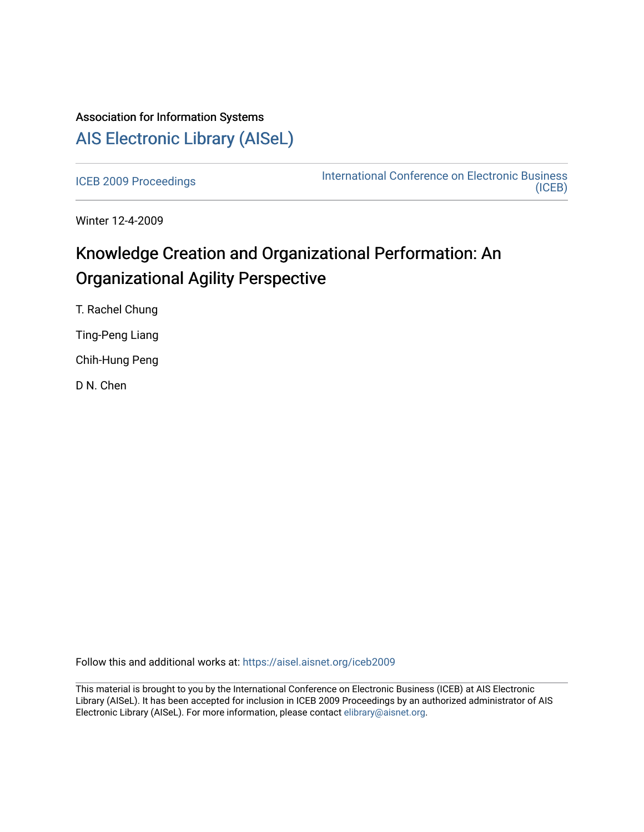# Association for Information Systems [AIS Electronic Library \(AISeL\)](https://aisel.aisnet.org/)

[ICEB 2009 Proceedings](https://aisel.aisnet.org/iceb2009) **International Conference on Electronic Business** [\(ICEB\)](https://aisel.aisnet.org/iceb) 

Winter 12-4-2009

# Knowledge Creation and Organizational Performation: An Organizational Agility Perspective

T. Rachel Chung Ting-Peng Liang

Chih-Hung Peng

D N. Chen

Follow this and additional works at: [https://aisel.aisnet.org/iceb2009](https://aisel.aisnet.org/iceb2009?utm_source=aisel.aisnet.org%2Ficeb2009%2F93&utm_medium=PDF&utm_campaign=PDFCoverPages)

This material is brought to you by the International Conference on Electronic Business (ICEB) at AIS Electronic Library (AISeL). It has been accepted for inclusion in ICEB 2009 Proceedings by an authorized administrator of AIS Electronic Library (AISeL). For more information, please contact [elibrary@aisnet.org.](mailto:elibrary@aisnet.org%3E)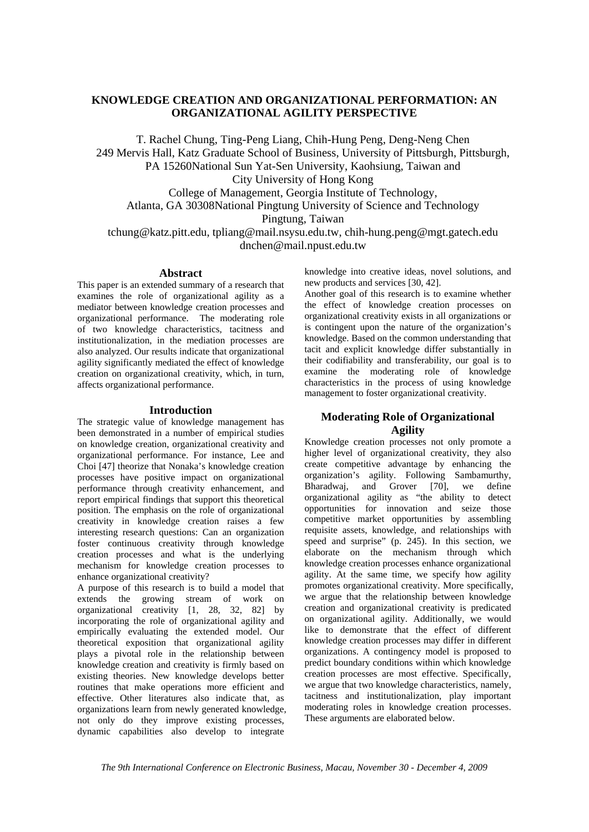# **KNOWLEDGE CREATION AND ORGANIZATIONAL PERFORMATION: AN ORGANIZATIONAL AGILITY PERSPECTIVE**

T. Rachel Chung, Ting-Peng Liang, Chih-Hung Peng, Deng-Neng Chen 249 Mervis Hall, Katz Graduate School of Business, University of Pittsburgh, Pittsburgh, PA 15260National Sun Yat-Sen University, Kaohsiung, Taiwan and City University of Hong Kong College of Management, Georgia Institute of Technology,

Atlanta, GA 30308National Pingtung University of Science and Technology

Pingtung, Taiwan

tchung@katz.pitt.edu, tpliang@mail.nsysu.edu.tw, chih-hung.peng@mgt.gatech.edu dnchen@mail.npust.edu.tw

#### **Abstract**

This paper is an extended summary of a research that examines the role of organizational agility as a mediator between knowledge creation processes and organizational performance. The moderating role of two knowledge characteristics, tacitness and institutionalization, in the mediation processes are also analyzed. Our results indicate that organizational agility significantly mediated the effect of knowledge creation on organizational creativity, which, in turn, affects organizational performance.

#### **Introduction**

The strategic value of knowledge management has been demonstrated in a number of empirical studies on knowledge creation, organizational creativity and organizational performance. For instance, Lee and Choi [47] theorize that Nonaka's knowledge creation processes have positive impact on organizational performance through creativity enhancement, and report empirical findings that support this theoretical position. The emphasis on the role of organizational creativity in knowledge creation raises a few interesting research questions: Can an organization foster continuous creativity through knowledge creation processes and what is the underlying mechanism for knowledge creation processes to enhance organizational creativity?

A purpose of this research is to build a model that extends the growing stream of work on organizational creativity [1, 28, 32, 82] by incorporating the role of organizational agility and empirically evaluating the extended model. Our theoretical exposition that organizational agility plays a pivotal role in the relationship between knowledge creation and creativity is firmly based on existing theories. New knowledge develops better routines that make operations more efficient and effective. Other literatures also indicate that, as organizations learn from newly generated knowledge, not only do they improve existing processes, dynamic capabilities also develop to integrate

knowledge into creative ideas, novel solutions, and new products and services [30, 42].

Another goal of this research is to examine whether the effect of knowledge creation processes on organizational creativity exists in all organizations or is contingent upon the nature of the organization's knowledge. Based on the common understanding that tacit and explicit knowledge differ substantially in their codifiability and transferability, our goal is to examine the moderating role of knowledge characteristics in the process of using knowledge management to foster organizational creativity.

### **Moderating Role of Organizational Agility**

Knowledge creation processes not only promote a higher level of organizational creativity, they also create competitive advantage by enhancing the organization's agility. Following Sambamurthy, Bharadwaj, and Grover [70], we define organizational agility as "the ability to detect opportunities for innovation and seize those competitive market opportunities by assembling requisite assets, knowledge, and relationships with speed and surprise" (p. 245). In this section, we elaborate on the mechanism through which knowledge creation processes enhance organizational agility. At the same time, we specify how agility promotes organizational creativity. More specifically, we argue that the relationship between knowledge creation and organizational creativity is predicated on organizational agility. Additionally, we would like to demonstrate that the effect of different knowledge creation processes may differ in different organizations. A contingency model is proposed to predict boundary conditions within which knowledge creation processes are most effective. Specifically, we argue that two knowledge characteristics, namely, tacitness and institutionalization, play important moderating roles in knowledge creation processes. These arguments are elaborated below.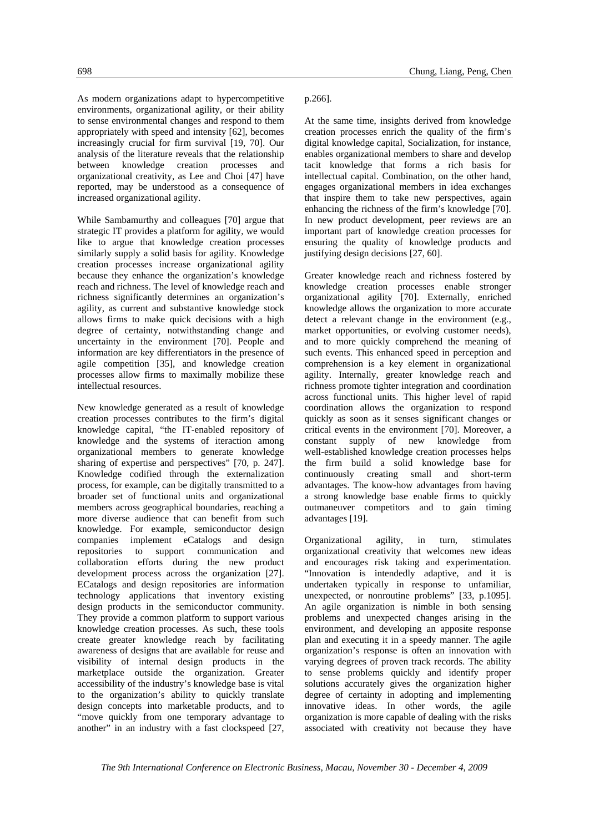As modern organizations adapt to hypercompetitive environments, organizational agility, or their ability to sense environmental changes and respond to them appropriately with speed and intensity [62], becomes increasingly crucial for firm survival [19, 70]. Our analysis of the literature reveals that the relationship between knowledge creation processes and organizational creativity, as Lee and Choi [47] have reported, may be understood as a consequence of increased organizational agility.

While Sambamurthy and colleagues [70] argue that strategic IT provides a platform for agility, we would like to argue that knowledge creation processes similarly supply a solid basis for agility. Knowledge creation processes increase organizational agility because they enhance the organization's knowledge reach and richness. The level of knowledge reach and richness significantly determines an organization's agility, as current and substantive knowledge stock allows firms to make quick decisions with a high degree of certainty, notwithstanding change and uncertainty in the environment [70]. People and information are key differentiators in the presence of agile competition [35], and knowledge creation processes allow firms to maximally mobilize these intellectual resources.

New knowledge generated as a result of knowledge creation processes contributes to the firm's digital knowledge capital, "the IT-enabled repository of knowledge and the systems of iteraction among organizational members to generate knowledge sharing of expertise and perspectives" [70, p. 247]. Knowledge codified through the externalization process, for example, can be digitally transmitted to a broader set of functional units and organizational members across geographical boundaries, reaching a more diverse audience that can benefit from such knowledge. For example, semiconductor design companies implement eCatalogs and design repositories to support communication and collaboration efforts during the new product development process across the organization [27]. ECatalogs and design repositories are information technology applications that inventory existing design products in the semiconductor community. They provide a common platform to support various knowledge creation processes. As such, these tools create greater knowledge reach by facilitating awareness of designs that are available for reuse and visibility of internal design products in the marketplace outside the organization. Greater accessibility of the industry's knowledge base is vital to the organization's ability to quickly translate design concepts into marketable products, and to "move quickly from one temporary advantage to another" in an industry with a fast clockspeed [27,

#### p.266].

At the same time, insights derived from knowledge creation processes enrich the quality of the firm's digital knowledge capital, Socialization, for instance, enables organizational members to share and develop tacit knowledge that forms a rich basis for intellectual capital. Combination, on the other hand, engages organizational members in idea exchanges that inspire them to take new perspectives, again enhancing the richness of the firm's knowledge [70]. In new product development, peer reviews are an important part of knowledge creation processes for ensuring the quality of knowledge products and justifying design decisions [27, 60].

Greater knowledge reach and richness fostered by knowledge creation processes enable stronger organizational agility [70]. Externally, enriched knowledge allows the organization to more accurate detect a relevant change in the environment (e.g., market opportunities, or evolving customer needs), and to more quickly comprehend the meaning of such events. This enhanced speed in perception and comprehension is a key element in organizational agility. Internally, greater knowledge reach and richness promote tighter integration and coordination across functional units. This higher level of rapid coordination allows the organization to respond quickly as soon as it senses significant changes or critical events in the environment [70]. Moreover, a constant supply of new knowledge from well-established knowledge creation processes helps the firm build a solid knowledge base for continuously creating small and short-term advantages. The know-how advantages from having a strong knowledge base enable firms to quickly outmaneuver competitors and to gain timing advantages [19].

Organizational agility, in turn, stimulates organizational creativity that welcomes new ideas and encourages risk taking and experimentation. "Innovation is intendedly adaptive, and it is undertaken typically in response to unfamiliar, unexpected, or nonroutine problems" [33, p.1095]. An agile organization is nimble in both sensing problems and unexpected changes arising in the environment, and developing an apposite response plan and executing it in a speedy manner. The agile organization's response is often an innovation with varying degrees of proven track records. The ability to sense problems quickly and identify proper solutions accurately gives the organization higher degree of certainty in adopting and implementing innovative ideas. In other words, the agile organization is more capable of dealing with the risks associated with creativity not because they have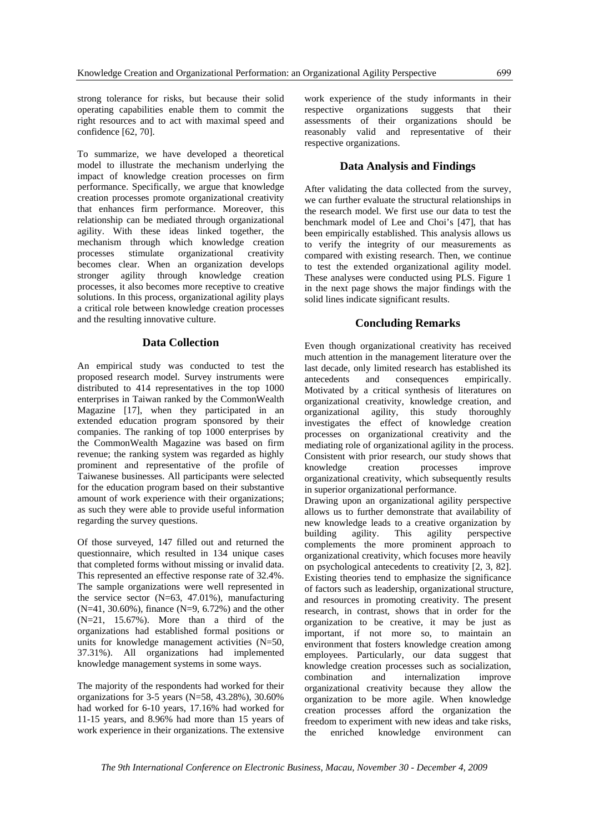strong tolerance for risks, but because their solid operating capabilities enable them to commit the right resources and to act with maximal speed and confidence [62, 70].

To summarize, we have developed a theoretical model to illustrate the mechanism underlying the impact of knowledge creation processes on firm performance. Specifically, we argue that knowledge creation processes promote organizational creativity that enhances firm performance. Moreover, this relationship can be mediated through organizational agility. With these ideas linked together, the mechanism through which knowledge creation processes stimulate organizational creativity becomes clear. When an organization develops stronger agility through knowledge creation processes, it also becomes more receptive to creative solutions. In this process, organizational agility plays a critical role between knowledge creation processes and the resulting innovative culture.

#### **Data Collection**

An empirical study was conducted to test the proposed research model. Survey instruments were distributed to 414 representatives in the top 1000 enterprises in Taiwan ranked by the CommonWealth Magazine [17], when they participated in an extended education program sponsored by their companies. The ranking of top 1000 enterprises by the CommonWealth Magazine was based on firm revenue; the ranking system was regarded as highly prominent and representative of the profile of Taiwanese businesses. All participants were selected for the education program based on their substantive amount of work experience with their organizations; as such they were able to provide useful information regarding the survey questions.

Of those surveyed, 147 filled out and returned the questionnaire, which resulted in 134 unique cases that completed forms without missing or invalid data. This represented an effective response rate of 32.4%. The sample organizations were well represented in the service sector (N=63, 47.01%), manufacturing (N=41, 30.60%), finance (N=9, 6.72%) and the other (N=21, 15.67%). More than a third of the organizations had established formal positions or units for knowledge management activities (N=50, 37.31%). All organizations had implemented knowledge management systems in some ways.

The majority of the respondents had worked for their organizations for 3-5 years (N=58, 43.28%), 30.60% had worked for 6-10 years, 17.16% had worked for 11-15 years, and 8.96% had more than 15 years of work experience in their organizations. The extensive

work experience of the study informants in their respective organizations suggests that their assessments of their organizations should be reasonably valid and representative of their respective organizations.

# **Data Analysis and Findings**

After validating the data collected from the survey, we can further evaluate the structural relationships in the research model. We first use our data to test the benchmark model of Lee and Choi's [47], that has been empirically established. This analysis allows us to verify the integrity of our measurements as compared with existing research. Then, we continue to test the extended organizational agility model. These analyses were conducted using PLS. Figure 1 in the next page shows the major findings with the solid lines indicate significant results.

## **Concluding Remarks**

Even though organizational creativity has received much attention in the management literature over the last decade, only limited research has established its antecedents and consequences empirically. Motivated by a critical synthesis of literatures on organizational creativity, knowledge creation, and organizational agility, this study thoroughly investigates the effect of knowledge creation processes on organizational creativity and the mediating role of organizational agility in the process. Consistent with prior research, our study shows that knowledge creation processes improve organizational creativity, which subsequently results in superior organizational performance.

Drawing upon an organizational agility perspective allows us to further demonstrate that availability of new knowledge leads to a creative organization by building agility. This agility perspective complements the more prominent approach to organizational creativity, which focuses more heavily on psychological antecedents to creativity [2, 3, 82]. Existing theories tend to emphasize the significance of factors such as leadership, organizational structure, and resources in promoting creativity. The present research, in contrast, shows that in order for the organization to be creative, it may be just as important, if not more so, to maintain an environment that fosters knowledge creation among employees. Particularly, our data suggest that knowledge creation processes such as socialization, combination and internalization improve organizational creativity because they allow the organization to be more agile. When knowledge creation processes afford the organization the freedom to experiment with new ideas and take risks, the enriched knowledge environment can